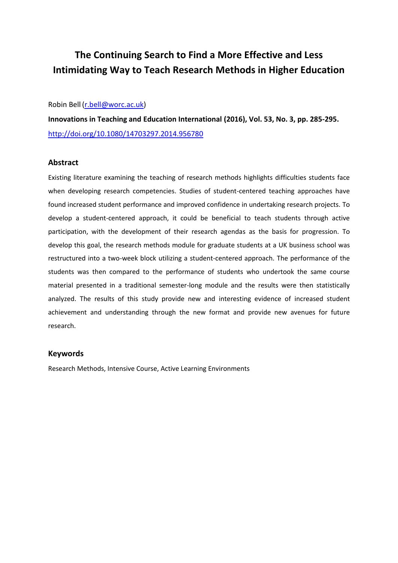# **The Continuing Search to Find a More Effective and Less Intimidating Way to Teach Research Methods in Higher Education**

Robin Bell [\(r.bell@worc.ac.uk\)](mailto:r.bell@worc.ac.uk)

**Innovations in Teaching and Education International (2016), Vol. 53, No. 3, pp. 285-295.** <http://doi.org/10.1080/14703297.2014.956780>

## **Abstract**

Existing literature examining the teaching of research methods highlights difficulties students face when developing research competencies. Studies of student-centered teaching approaches have found increased student performance and improved confidence in undertaking research projects. To develop a student-centered approach, it could be beneficial to teach students through active participation, with the development of their research agendas as the basis for progression. To develop this goal, the research methods module for graduate students at a UK business school was restructured into a two-week block utilizing a student-centered approach. The performance of the students was then compared to the performance of students who undertook the same course material presented in a traditional semester-long module and the results were then statistically analyzed. The results of this study provide new and interesting evidence of increased student achievement and understanding through the new format and provide new avenues for future research.

## **Keywords**

Research Methods, Intensive Course, Active Learning Environments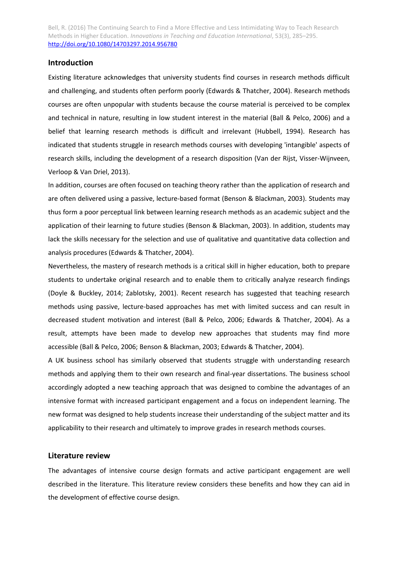## **Introduction**

Existing literature acknowledges that university students find courses in research methods difficult and challenging, and students often perform poorly (Edwards & Thatcher, 2004). Research methods courses are often unpopular with students because the course material is perceived to be complex and technical in nature, resulting in low student interest in the material (Ball & Pelco, 2006) and a belief that learning research methods is difficult and irrelevant (Hubbell, 1994). Research has indicated that students struggle in research methods courses with developing 'intangible' aspects of research skills, including the development of a research disposition (Van der Rijst, Visser-Wijnveen, Verloop & Van Driel, 2013).

In addition, courses are often focused on teaching theory rather than the application of research and are often delivered using a passive, lecture-based format (Benson & Blackman, 2003). Students may thus form a poor perceptual link between learning research methods as an academic subject and the application of their learning to future studies (Benson & Blackman, 2003). In addition, students may lack the skills necessary for the selection and use of qualitative and quantitative data collection and analysis procedures (Edwards & Thatcher, 2004).

Nevertheless, the mastery of research methods is a critical skill in higher education, both to prepare students to undertake original research and to enable them to critically analyze research findings (Doyle & Buckley, 2014; Zablotsky, 2001). Recent research has suggested that teaching research methods using passive, lecture-based approaches has met with limited success and can result in decreased student motivation and interest (Ball & Pelco, 2006; Edwards & Thatcher, 2004). As a result, attempts have been made to develop new approaches that students may find more accessible (Ball & Pelco, 2006; Benson & Blackman, 2003; Edwards & Thatcher, 2004).

A UK business school has similarly observed that students struggle with understanding research methods and applying them to their own research and final-year dissertations. The business school accordingly adopted a new teaching approach that was designed to combine the advantages of an intensive format with increased participant engagement and a focus on independent learning. The new format was designed to help students increase their understanding of the subject matter and its applicability to their research and ultimately to improve grades in research methods courses.

## **Literature review**

The advantages of intensive course design formats and active participant engagement are well described in the literature. This literature review considers these benefits and how they can aid in the development of effective course design.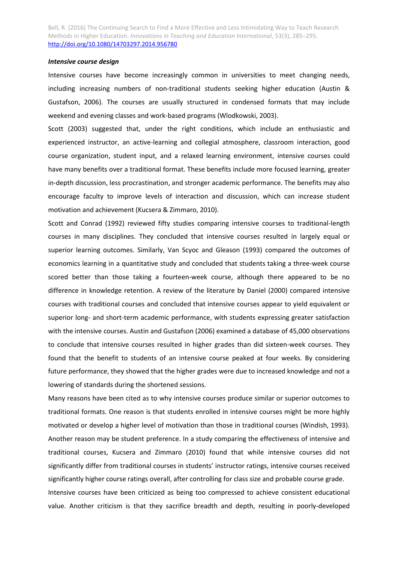#### *Intensive course design*

Intensive courses have become increasingly common in universities to meet changing needs, including increasing numbers of non-traditional students seeking higher education (Austin & Gustafson, 2006). The courses are usually structured in condensed formats that may include weekend and evening classes and work-based programs (Wlodkowski, 2003).

Scott (2003) suggested that, under the right conditions, which include an enthusiastic and experienced instructor, an active-learning and collegial atmosphere, classroom interaction, good course organization, student input, and a relaxed learning environment, intensive courses could have many benefits over a traditional format. These benefits include more focused learning, greater in-depth discussion, less procrastination, and stronger academic performance. The benefits may also encourage faculty to improve levels of interaction and discussion, which can increase student motivation and achievement (Kucsera & Zimmaro, 2010).

Scott and Conrad (1992) reviewed fifty studies comparing intensive courses to traditional-length courses in many disciplines. They concluded that intensive courses resulted in largely equal or superior learning outcomes. Similarly, Van Scyoc and Gleason (1993) compared the outcomes of economics learning in a quantitative study and concluded that students taking a three-week course scored better than those taking a fourteen-week course, although there appeared to be no difference in knowledge retention. A review of the literature by Daniel (2000) compared intensive courses with traditional courses and concluded that intensive courses appear to yield equivalent or superior long- and short-term academic performance, with students expressing greater satisfaction with the intensive courses. Austin and Gustafson (2006) examined a database of 45,000 observations to conclude that intensive courses resulted in higher grades than did sixteen-week courses. They found that the benefit to students of an intensive course peaked at four weeks. By considering future performance, they showed that the higher grades were due to increased knowledge and not a lowering of standards during the shortened sessions.

Many reasons have been cited as to why intensive courses produce similar or superior outcomes to traditional formats. One reason is that students enrolled in intensive courses might be more highly motivated or develop a higher level of motivation than those in traditional courses (Windish, 1993). Another reason may be student preference. In a study comparing the effectiveness of intensive and traditional courses, Kucsera and Zimmaro (2010) found that while intensive courses did not significantly differ from traditional courses in students' instructor ratings, intensive courses received significantly higher course ratings overall, after controlling for class size and probable course grade. Intensive courses have been criticized as being too compressed to achieve consistent educational value. Another criticism is that they sacrifice breadth and depth, resulting in poorly-developed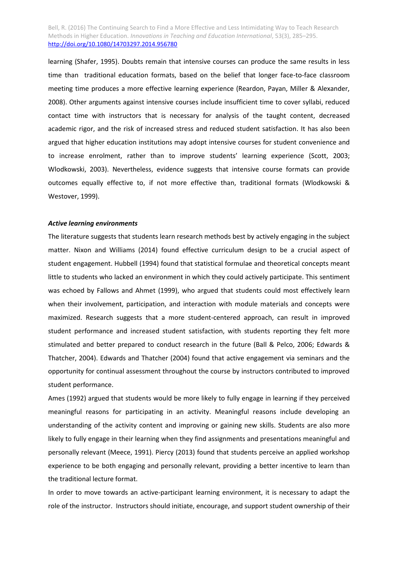learning (Shafer, 1995). Doubts remain that intensive courses can produce the same results in less time than traditional education formats, based on the belief that longer face-to-face classroom meeting time produces a more effective learning experience (Reardon, Payan, Miller & Alexander, 2008). Other arguments against intensive courses include insufficient time to cover syllabi, reduced contact time with instructors that is necessary for analysis of the taught content, decreased academic rigor, and the risk of increased stress and reduced student satisfaction. It has also been argued that higher education institutions may adopt intensive courses for student convenience and to increase enrolment, rather than to improve students' learning experience (Scott, 2003; Wlodkowski, 2003). Nevertheless, evidence suggests that intensive course formats can provide outcomes equally effective to, if not more effective than, traditional formats (Wlodkowski & Westover, 1999).

#### *Active learning environments*

The literature suggests that students learn research methods best by actively engaging in the subject matter. Nixon and Williams (2014) found effective curriculum design to be a crucial aspect of student engagement. Hubbell (1994) found that statistical formulae and theoretical concepts meant little to students who lacked an environment in which they could actively participate. This sentiment was echoed by Fallows and Ahmet (1999), who argued that students could most effectively learn when their involvement, participation, and interaction with module materials and concepts were maximized. Research suggests that a more student-centered approach, can result in improved student performance and increased student satisfaction, with students reporting they felt more stimulated and better prepared to conduct research in the future (Ball & Pelco, 2006; Edwards & Thatcher, 2004). Edwards and Thatcher (2004) found that active engagement via seminars and the opportunity for continual assessment throughout the course by instructors contributed to improved student performance.

Ames (1992) argued that students would be more likely to fully engage in learning if they perceived meaningful reasons for participating in an activity. Meaningful reasons include developing an understanding of the activity content and improving or gaining new skills. Students are also more likely to fully engage in their learning when they find assignments and presentations meaningful and personally relevant (Meece, 1991). Piercy (2013) found that students perceive an applied workshop experience to be both engaging and personally relevant, providing a better incentive to learn than the traditional lecture format.

In order to move towards an active-participant learning environment, it is necessary to adapt the role of the instructor. Instructors should initiate, encourage, and support student ownership of their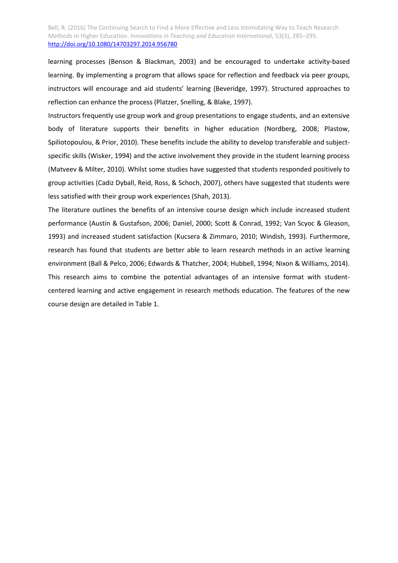learning processes (Benson & Blackman, 2003) and be encouraged to undertake activity-based learning. By implementing a program that allows space for reflection and feedback via peer groups, instructors will encourage and aid students' learning (Beveridge, 1997). Structured approaches to reflection can enhance the process (Platzer, Snelling, & Blake, 1997).

Instructors frequently use group work and group presentations to engage students, and an extensive body of literature supports their benefits in higher education (Nordberg, 2008; Plastow, Spiliotopoulou, & Prior, 2010). These benefits include the ability to develop transferable and subjectspecific skills (Wisker, 1994) and the active involvement they provide in the student learning process (Matveev & Milter, 2010). Whilst some studies have suggested that students responded positively to group activities (Cadiz Dyball, Reid, Ross, & Schoch, 2007), others have suggested that students were less satisfied with their group work experiences (Shah, 2013).

The literature outlines the benefits of an intensive course design which include increased student performance (Austin & Gustafson, 2006; Daniel, 2000; Scott & Conrad, 1992; Van Scyoc & Gleason, 1993) and increased student satisfaction (Kucsera & Zimmaro, 2010; Windish, 1993). Furthermore, research has found that students are better able to learn research methods in an active learning environment (Ball & Pelco, 2006; Edwards & Thatcher, 2004; Hubbell, 1994; Nixon & Williams, 2014). This research aims to combine the potential advantages of an intensive format with studentcentered learning and active engagement in research methods education. The features of the new course design are detailed in Table 1.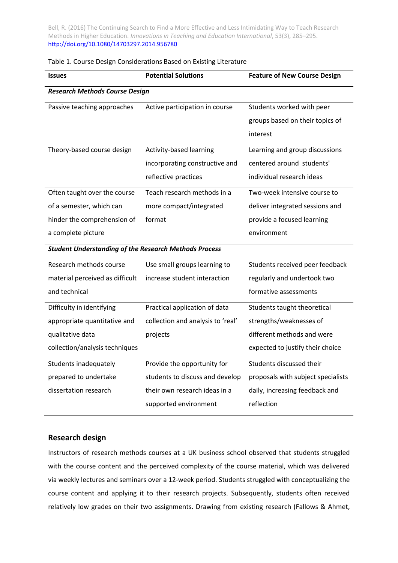|  |  | Table 1. Course Design Considerations Based on Existing Literature |
|--|--|--------------------------------------------------------------------|
|--|--|--------------------------------------------------------------------|

| <b>Issues</b>                                                | <b>Potential Solutions</b>        | <b>Feature of New Course Design</b> |
|--------------------------------------------------------------|-----------------------------------|-------------------------------------|
| <b>Research Methods Course Design</b>                        |                                   |                                     |
| Passive teaching approaches                                  | Active participation in course    | Students worked with peer           |
|                                                              |                                   | groups based on their topics of     |
|                                                              |                                   | interest                            |
| Theory-based course design                                   | Activity-based learning           | Learning and group discussions      |
|                                                              | incorporating constructive and    | centered around students'           |
|                                                              | reflective practices              | individual research ideas           |
| Often taught over the course                                 | Teach research methods in a       | Two-week intensive course to        |
| of a semester, which can                                     | more compact/integrated           | deliver integrated sessions and     |
| hinder the comprehension of                                  | format                            | provide a focused learning          |
| a complete picture                                           |                                   | environment                         |
| <b>Student Understanding of the Research Methods Process</b> |                                   |                                     |
| Research methods course                                      | Use small groups learning to      | Students received peer feedback     |
| material perceived as difficult                              | increase student interaction      | regularly and undertook two         |
| and technical                                                |                                   | formative assessments               |
| Difficulty in identifying                                    | Practical application of data     | Students taught theoretical         |
| appropriate quantitative and                                 | collection and analysis to 'real' | strengths/weaknesses of             |
| qualitative data                                             | projects                          | different methods and were          |
| collection/analysis techniques                               |                                   | expected to justify their choice    |
| Students inadequately                                        | Provide the opportunity for       | Students discussed their            |
| prepared to undertake                                        | students to discuss and develop   | proposals with subject specialists  |
| dissertation research                                        | their own research ideas in a     | daily, increasing feedback and      |
|                                                              | supported environment             | reflection                          |

# **Research design**

Instructors of research methods courses at a UK business school observed that students struggled with the course content and the perceived complexity of the course material, which was delivered via weekly lectures and seminars over a 12-week period. Students struggled with conceptualizing the course content and applying it to their research projects. Subsequently, students often received relatively low grades on their two assignments. Drawing from existing research (Fallows & Ahmet,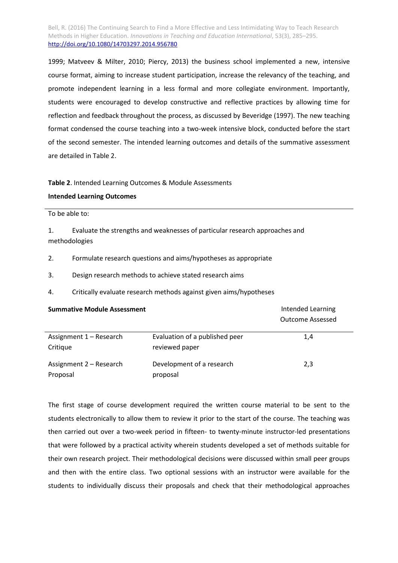1999; Matveev & Milter, 2010; Piercy, 2013) the business school implemented a new, intensive course format, aiming to increase student participation, increase the relevancy of the teaching, and promote independent learning in a less formal and more collegiate environment. Importantly, students were encouraged to develop constructive and reflective practices by allowing time for reflection and feedback throughout the process, as discussed by Beveridge (1997). The new teaching format condensed the course teaching into a two-week intensive block, conducted before the start of the second semester. The intended learning outcomes and details of the summative assessment are detailed in Table 2.

#### **Table 2**. Intended Learning Outcomes & Module Assessments

### **Intended Learning Outcomes**

To be able to:

1. Evaluate the strengths and weaknesses of particular research approaches and methodologies

- 2. Formulate research questions and aims/hypotheses as appropriate
- 3. Design research methods to achieve stated research aims
- 4. Critically evaluate research methods against given aims/hypotheses

| <b>Summative Module Assessment</b>  |                                                  | Intended Learning<br><b>Outcome Assessed</b> |
|-------------------------------------|--------------------------------------------------|----------------------------------------------|
| Assignment 1 – Research<br>Critique | Evaluation of a published peer<br>reviewed paper | 1,4                                          |
| Assignment 2 - Research<br>Proposal | Development of a research<br>proposal            | 2,3                                          |

The first stage of course development required the written course material to be sent to the students electronically to allow them to review it prior to the start of the course. The teaching was then carried out over a two-week period in fifteen- to twenty-minute instructor-led presentations that were followed by a practical activity wherein students developed a set of methods suitable for their own research project. Their methodological decisions were discussed within small peer groups and then with the entire class. Two optional sessions with an instructor were available for the students to individually discuss their proposals and check that their methodological approaches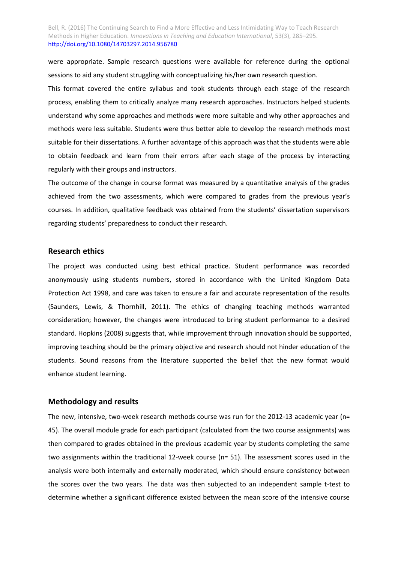were appropriate. Sample research questions were available for reference during the optional sessions to aid any student struggling with conceptualizing his/her own research question.

This format covered the entire syllabus and took students through each stage of the research process, enabling them to critically analyze many research approaches. Instructors helped students understand why some approaches and methods were more suitable and why other approaches and methods were less suitable. Students were thus better able to develop the research methods most suitable for their dissertations. A further advantage of this approach was that the students were able to obtain feedback and learn from their errors after each stage of the process by interacting regularly with their groups and instructors.

The outcome of the change in course format was measured by a quantitative analysis of the grades achieved from the two assessments, which were compared to grades from the previous year's courses. In addition, qualitative feedback was obtained from the students' dissertation supervisors regarding students' preparedness to conduct their research.

## **Research ethics**

The project was conducted using best ethical practice. Student performance was recorded anonymously using students numbers, stored in accordance with the United Kingdom Data Protection Act 1998, and care was taken to ensure a fair and accurate representation of the results (Saunders, Lewis, & Thornhill, 2011). The ethics of changing teaching methods warranted consideration; however, the changes were introduced to bring student performance to a desired standard. Hopkins (2008) suggests that, while improvement through innovation should be supported, improving teaching should be the primary objective and research should not hinder education of the students. Sound reasons from the literature supported the belief that the new format would enhance student learning.

### **Methodology and results**

The new, intensive, two-week research methods course was run for the 2012-13 academic year (n= 45). The overall module grade for each participant (calculated from the two course assignments) was then compared to grades obtained in the previous academic year by students completing the same two assignments within the traditional 12-week course (n= 51). The assessment scores used in the analysis were both internally and externally moderated, which should ensure consistency between the scores over the two years. The data was then subjected to an independent sample t-test to determine whether a significant difference existed between the mean score of the intensive course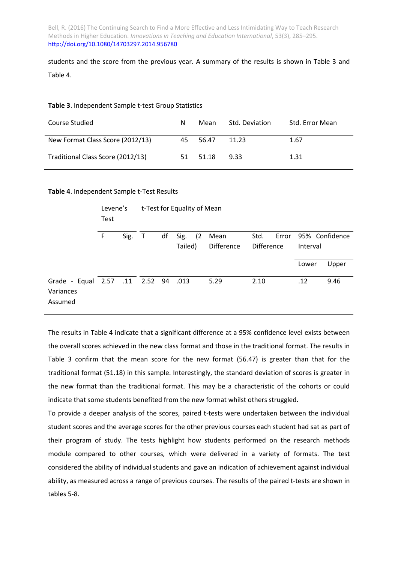students and the score from the previous year. A summary of the results is shown in Table 3 and Table 4.

### **Table 3**. Independent Sample t-test Group Statistics

| Course Studied                    | N  | Mean  | Std. Deviation | Std. Error Mean |
|-----------------------------------|----|-------|----------------|-----------------|
| New Format Class Score (2012/13)  | 45 | 56.47 | 11.23          | 1.67            |
| Traditional Class Score (2012/13) | 51 | 51.18 | 9.33           | 1.31            |

### **Table 4**. Independent Sample t-Test Results

|                                                             | Levene's<br>Test |      | t-Test for Equality of Mean |    |         |     |                   |                   |  |          |                      |
|-------------------------------------------------------------|------------------|------|-----------------------------|----|---------|-----|-------------------|-------------------|--|----------|----------------------|
|                                                             | F                | Sig. | $\top$                      | df | Sig.    | (2) | Mean              | Std.              |  |          | Error 95% Confidence |
|                                                             |                  |      |                             |    | Tailed) |     | <b>Difference</b> | <b>Difference</b> |  | Interval |                      |
|                                                             |                  |      |                             |    |         |     |                   |                   |  | Lower    | Upper                |
| Grade - Equal 2.57 .11 2.52 94 .013<br>Variances<br>Assumed |                  |      |                             |    |         |     | 5.29              | 2.10              |  | .12      | 9.46                 |

The results in Table 4 indicate that a significant difference at a 95% confidence level exists between the overall scores achieved in the new class format and those in the traditional format. The results in Table 3 confirm that the mean score for the new format (56.47) is greater than that for the traditional format (51.18) in this sample. Interestingly, the standard deviation of scores is greater in the new format than the traditional format. This may be a characteristic of the cohorts or could indicate that some students benefited from the new format whilst others struggled.

To provide a deeper analysis of the scores, paired t-tests were undertaken between the individual student scores and the average scores for the other previous courses each student had sat as part of their program of study. The tests highlight how students performed on the research methods module compared to other courses, which were delivered in a variety of formats. The test considered the ability of individual students and gave an indication of achievement against individual ability, as measured across a range of previous courses. The results of the paired t-tests are shown in tables 5-8.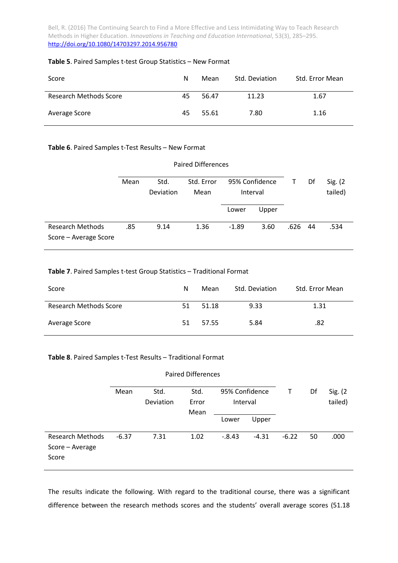## **Table 5**. Paired Samples t-test Group Statistics – New Format

| Score                         | N  | Mean  | Std. Deviation | Std. Error Mean |
|-------------------------------|----|-------|----------------|-----------------|
| <b>Research Methods Score</b> | 45 | 56.47 | 11.23          | 1.67            |
| Average Score                 | 45 | 55.61 | 7.80           | 1.16            |

## **Table 6**. Paired Samples t-Test Results – New Format

| <b>Paired Differences</b>                        |      |                   |                    |                            |       |      |     |                     |
|--------------------------------------------------|------|-------------------|--------------------|----------------------------|-------|------|-----|---------------------|
|                                                  | Mean | Std.<br>Deviation | Std. Error<br>Mean | 95% Confidence<br>Interval |       | т    | Df  | Sig. (2)<br>tailed) |
|                                                  |      |                   |                    | Lower                      | Upper |      |     |                     |
| <b>Research Methods</b><br>Score - Average Score | .85  | 9.14              | 1.36               | $-1.89$                    | 3.60  | .626 | -44 | .534                |

## **Table 7**. Paired Samples t-test Group Statistics – Traditional Format

| Score                         | N   | Mean  | Std. Deviation | Std. Error Mean |
|-------------------------------|-----|-------|----------------|-----------------|
| <b>Research Methods Score</b> | 51  | 51.18 | 9.33           | 1.31            |
| Average Score                 | 51. | 57.55 | 5.84           | .82             |

## **Table 8**. Paired Samples t-Test Results – Traditional Format

|                                                     | Mean    | Std.<br>Deviation | Std.<br>Error<br>Mean | т        | Df      | Sig. (2)<br>tailed) |    |      |
|-----------------------------------------------------|---------|-------------------|-----------------------|----------|---------|---------------------|----|------|
|                                                     |         |                   |                       | Lower    | Upper   |                     |    |      |
| <b>Research Methods</b><br>Score - Average<br>Score | $-6.37$ | 7.31              | 1.02                  | $-.8.43$ | $-4.31$ | $-6.22$             | 50 | .000 |

The results indicate the following. With regard to the traditional course, there was a significant difference between the research methods scores and the students' overall average scores (51.18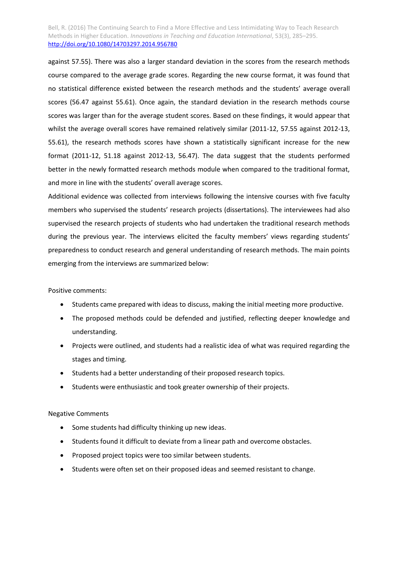against 57.55). There was also a larger standard deviation in the scores from the research methods course compared to the average grade scores. Regarding the new course format, it was found that no statistical difference existed between the research methods and the students' average overall scores (56.47 against 55.61). Once again, the standard deviation in the research methods course scores was larger than for the average student scores. Based on these findings, it would appear that whilst the average overall scores have remained relatively similar (2011-12, 57.55 against 2012-13, 55.61), the research methods scores have shown a statistically significant increase for the new format (2011-12, 51.18 against 2012-13, 56.47). The data suggest that the students performed better in the newly formatted research methods module when compared to the traditional format, and more in line with the students' overall average scores.

Additional evidence was collected from interviews following the intensive courses with five faculty members who supervised the students' research projects (dissertations). The interviewees had also supervised the research projects of students who had undertaken the traditional research methods during the previous year. The interviews elicited the faculty members' views regarding students' preparedness to conduct research and general understanding of research methods. The main points emerging from the interviews are summarized below:

Positive comments:

- Students came prepared with ideas to discuss, making the initial meeting more productive.
- The proposed methods could be defended and justified, reflecting deeper knowledge and understanding.
- Projects were outlined, and students had a realistic idea of what was required regarding the stages and timing.
- Students had a better understanding of their proposed research topics.
- Students were enthusiastic and took greater ownership of their projects.

#### Negative Comments

- Some students had difficulty thinking up new ideas.
- Students found it difficult to deviate from a linear path and overcome obstacles.
- Proposed project topics were too similar between students.
- Students were often set on their proposed ideas and seemed resistant to change.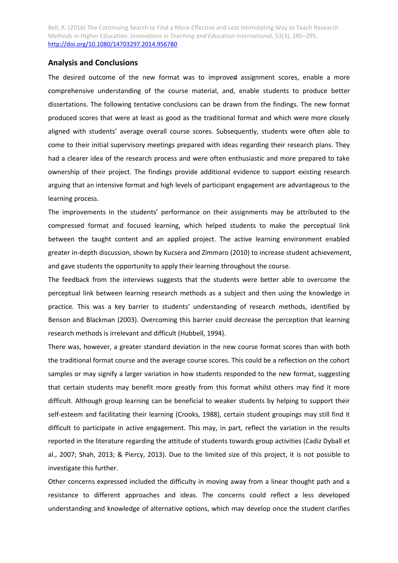## **Analysis and Conclusions**

The desired outcome of the new format was to improved assignment scores, enable a more comprehensive understanding of the course material, and, enable students to produce better dissertations. The following tentative conclusions can be drawn from the findings. The new format produced scores that were at least as good as the traditional format and which were more closely aligned with students' average overall course scores. Subsequently, students were often able to come to their initial supervisory meetings prepared with ideas regarding their research plans. They had a clearer idea of the research process and were often enthusiastic and more prepared to take ownership of their project. The findings provide additional evidence to support existing research arguing that an intensive format and high levels of participant engagement are advantageous to the learning process.

The improvements in the students' performance on their assignments may be attributed to the compressed format and focused learning, which helped students to make the perceptual link between the taught content and an applied project. The active learning environment enabled greater in-depth discussion, shown by Kucsera and Zimmaro (2010) to increase student achievement, and gave students the opportunity to apply their learning throughout the course.

The feedback from the interviews suggests that the students were better able to overcome the perceptual link between learning research methods as a subject and then using the knowledge in practice. This was a key barrier to students' understanding of research methods, identified by Benson and Blackman (2003). Overcoming this barrier could decrease the perception that learning research methods is irrelevant and difficult (Hubbell, 1994).

There was, however, a greater standard deviation in the new course format scores than with both the traditional format course and the average course scores. This could be a reflection on the cohort samples or may signify a larger variation in how students responded to the new format, suggesting that certain students may benefit more greatly from this format whilst others may find it more difficult. Although group learning can be beneficial to weaker students by helping to support their self-esteem and facilitating their learning (Crooks, 1988), certain student groupings may still find it difficult to participate in active engagement. This may, in part, reflect the variation in the results reported in the literature regarding the attitude of students towards group activities (Cadiz Dyball et al., 2007; Shah, 2013; & Piercy, 2013). Due to the limited size of this project, it is not possible to investigate this further.

Other concerns expressed included the difficulty in moving away from a linear thought path and a resistance to different approaches and ideas. The concerns could reflect a less developed understanding and knowledge of alternative options, which may develop once the student clarifies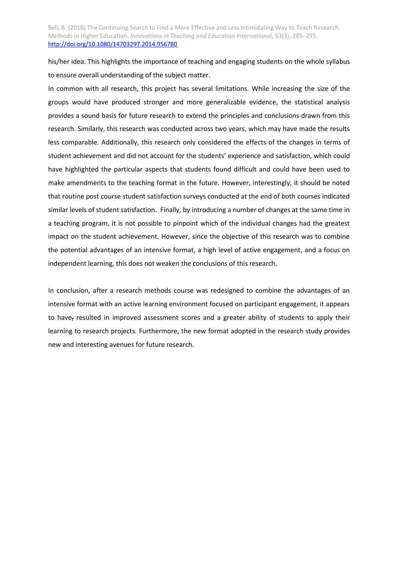his/her idea. This highlights the importance of teaching and engaging students on the whole syllabus to ensure overall understanding of the subject matter.

In common with all research, this project has several limitations. While increasing the size of the groups would have produced stronger and more generalizable evidence, the statistical analysis provides a sound basis for future research to extend the principles and conclusions drawn from this research. Similarly, this research was conducted across two years, which may have made the results less comparable. Additionally, this research only considered the effects of the changes in terms of student achievement and did not account for the students' experience and satisfaction, which could have highlighted the particular aspects that students found difficult and could have been used to make amendments to the teaching format in the future. However, interestingly, it should be noted that routine post course student satisfaction surveys conducted at the end of both courses indicated similar levels of student satisfaction. Finally, by introducing a number of changes at the same time in a teaching program, it is not possible to pinpoint which of the individual changes had the greatest impact on the student achievement. However, since the objective of this research was to combine the potential advantages of an intensive format, a high level of active engagement, and a focus on independent learning, this does not weaken the conclusions of this research.

In conclusion, after a research methods course was redesigned to combine the advantages of an intensive format with an active learning environment focused on participant engagement, it appears to have, resulted in improved assessment scores and a greater ability of students to apply their learning to research projects. Furthermore, the new format adopted in the research study provides new and interesting avenues for future research.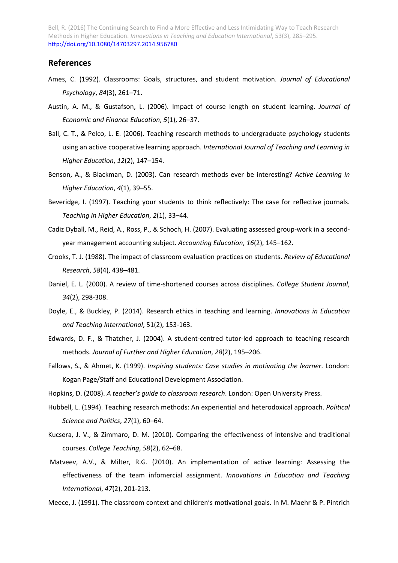# **References**

- Ames, C. (1992). Classrooms: Goals, structures, and student motivation. *Journal of Educational Psychology*, *84*(3), 261–71.
- Austin, A. M., & Gustafson, L. (2006). Impact of course length on student learning. *Journal of Economic and Finance Education*, *5*(1), 26–37.
- Ball, C. T., & Pelco, L. E. (2006). Teaching research methods to undergraduate psychology students using an active cooperative learning approach. *International Journal of Teaching and Learning in Higher Education*, *12*(2), 147–154.
- Benson, A., & Blackman, D. (2003). Can research methods ever be interesting? *Active Learning in Higher Education*, *4*(1), 39–55.
- Beveridge, I. (1997). Teaching your students to think reflectively: The case for reflective journals. *Teaching in Higher Education*, *2*(1), 33–44.
- Cadiz Dyball, M., Reid, A., Ross, P., & Schoch, H. (2007). Evaluating assessed group-work in a secondyear management accounting subject. *Accounting Education*, *16*(2), 145–162.
- Crooks, T. J. (1988). The impact of classroom evaluation practices on students. *Review of Educational Research*, *58*(4), 438–481.
- Daniel, E. L. (2000). A review of time-shortened courses across disciplines. *College Student Journal*, *34*(2), 298-308.
- Doyle, E., & Buckley, P. (2014). Research ethics in teaching and learning. *Innovations in Education and Teaching International*, 51(2), 153-163.
- Edwards, D. F., & Thatcher, J. (2004). A student‐centred tutor‐led approach to teaching research methods. *Journal of Further and Higher Education*, *28*(2), 195–206.
- Fallows, S., & Ahmet, K. (1999). *Inspiring students: Case studies in motivating the learner*. London: Kogan Page/Staff and Educational Development Association.
- Hopkins, D. (2008). *A teacher's guide to classroom research*. London: Open University Press.
- Hubbell, L. (1994). Teaching research methods: An experiential and heterodoxical approach. *Political Science and Politics*, *27*(1), 60–64.
- Kucsera, J. V., & Zimmaro, D. M. (2010). Comparing the effectiveness of intensive and traditional courses. *College Teaching*, *58*(2), 62–68.
- Matveev, A.V., & Milter, R.G. (2010). An implementation of active learning: Assessing the effectiveness of the team infomercial assignment. *Innovations in Education and Teaching International*, *47*(2), 201-213.
- Meece, J. (1991). The classroom context and children's motivational goals. In M. Maehr & P. Pintrich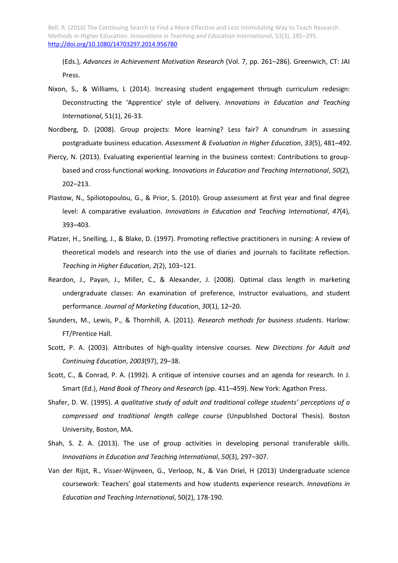(Eds.), *Advances in Achievement Motivation Research* (Vol. 7, pp. 261–286). Greenwich, CT: JAI Press.

- Nixon, S., & Williams, L (2014). Increasing student engagement through curriculum redesign: Deconstructing the 'Apprentice' style of delivery. *Innovations in Education and Teaching International*, 51(1), 26-33.
- Nordberg, D. (2008). Group projects: More learning? Less fair? A conundrum in assessing postgraduate business education. *Assessment & Evaluation in Higher Education*, *33*(5), 481–492.
- Piercy, N. (2013). Evaluating experiential learning in the business context: Contributions to groupbased and cross-functional working. *Innovations in Education and Teaching International*, *50*(2), 202–213.
- Plastow, N., Spiliotopoulou, G., & Prior, S. (2010). Group assessment at first year and final degree level: A comparative evaluation. *Innovations in Education and Teaching International*, *47*(4), 393–403.
- Platzer, H., Snelling, J., & Blake, D. (1997). Promoting reflective practitioners in nursing: A review of theoretical models and research into the use of diaries and journals to facilitate reflection. *Teaching in Higher Education*, *2*(2), 103–121.
- Reardon, J., Payan, J., Miller, C., & Alexander, J. (2008). Optimal class length in marketing undergraduate classes: An examination of preference, instructor evaluations, and student performance. *Journal of Marketing Education*, *30*(1), 12–20.
- Saunders, M., Lewis, P., & Thornhill, A. (2011). *Research methods for business students*. Harlow: FT/Prentice Hall.
- Scott, P. A. (2003). Attributes of high-quality intensive courses. *New Directions for Adult and Continuing Education*, *2003*(97), 29–38.
- Scott, C., & Conrad, P. A. (1992). A critique of intensive courses and an agenda for research. In J. Smart (Ed.), *Hand Book of Theory and Research* (pp. 411–459). New York: Agathon Press.
- Shafer, D. W. (1995). *A qualitative study of adult and traditional college students' perceptions of a compressed and traditional length college course* (Unpublished Doctoral Thesis). Boston University, Boston, MA.
- Shah, S. Z. A. (2013). The use of group activities in developing personal transferable skills. *Innovations in Education and Teaching International*, *50*(3), 297–307.
- Van der Rijst, R., Visser-Wijnveen, G., Verloop, N., & Van Driel, H (2013) Undergraduate science coursework: Teachers' goal statements and how students experience research. *Innovations in Education and Teaching International*, 50(2), 178-190.